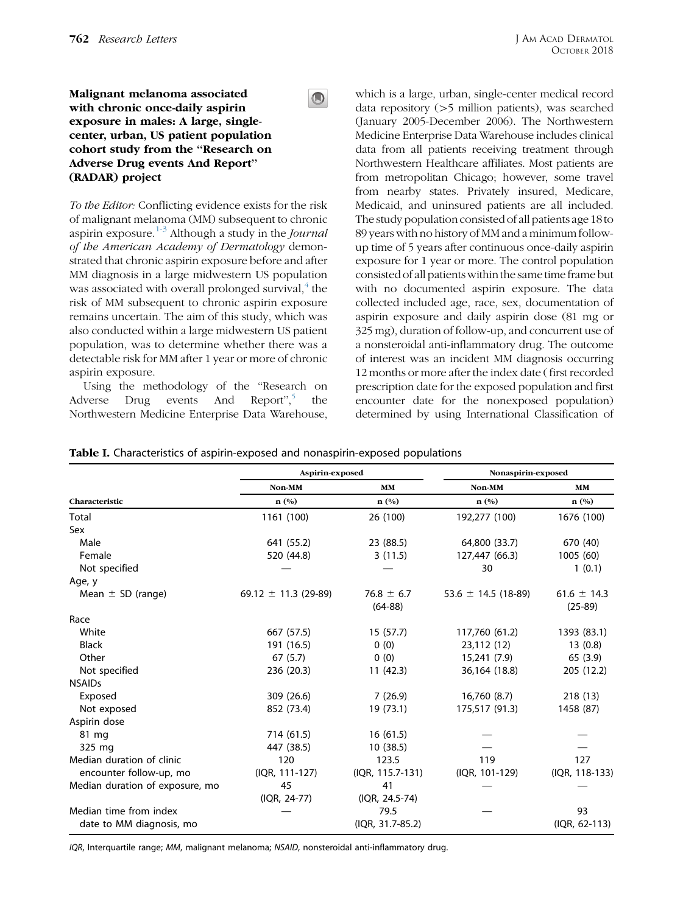## <span id="page-0-0"></span>Malignant melanoma associated with chronic once-daily aspirin exposure in males: A large, singlecenter, urban, US patient population cohort study from the ''Research on Adverse Drug events And Report'' (RADAR) project

To the Editor: Conflicting evidence exists for the risk of malignant melanoma (MM) subsequent to chronic aspirin exposure.<sup>[1-3](#page-1-0)</sup> Although a study in the *Journal* of the American Academy of Dermatology demonstrated that chronic aspirin exposure before and after MM diagnosis in a large midwestern US population was associated with overall prolonged survival, $4$  the risk of MM subsequent to chronic aspirin exposure remains uncertain. The aim of this study, which was also conducted within a large midwestern US patient population, was to determine whether there was a detectable risk for MM after 1 year or more of chronic aspirin exposure.

Using the methodology of the ''Research on Adverse Drug events And Report",<sup>[5](#page-2-0)</sup> the Northwestern Medicine Enterprise Data Warehouse,

which is a large, urban, single-center medical record data repository  $(>5$  million patients), was searched (January 2005-December 2006). The Northwestern Medicine Enterprise Data Warehouse includes clinical data from all patients receiving treatment through Northwestern Healthcare affiliates. Most patients are from metropolitan Chicago; however, some travel from nearby states. Privately insured, Medicare, Medicaid, and uninsured patients are all included. The study population consisted of all patients age 18to 89 years with no history of MM and a minimum followup time of 5 years after continuous once-daily aspirin exposure for 1 year or more. The control population consisted of all patients withinthe same time frame but with no documented aspirin exposure. The data collected included age, race, sex, documentation of aspirin exposure and daily aspirin dose (81 mg or 325 mg), duration of follow-up, and concurrent use of a nonsteroidal anti-inflammatory drug. The outcome of interest was an incident MM diagnosis occurring 12 months or more after the index date ( first recorded prescription date for the exposed population and first encounter date for the nonexposed population) determined by using International Classification of

|                                 | Aspirin-exposed          |                  | Nonaspirin-exposed      |                 |
|---------------------------------|--------------------------|------------------|-------------------------|-----------------|
|                                 | Non-MM                   | <b>MM</b>        | Non-MM                  | <b>MM</b>       |
| Characteristic                  | n(%)                     | n(%)             | $n$ $(\%)$              | $n(^{0}/_{0})$  |
| Total                           | 1161 (100)               | 26 (100)         | 192,277 (100)           | 1676 (100)      |
| Sex                             |                          |                  |                         |                 |
| Male                            | 641 (55.2)               | 23 (88.5)        | 64,800 (33.7)           | 670 (40)        |
| Female                          | 520 (44.8)               | 3(11.5)          | 127,447 (66.3)          | 1005 (60)       |
| Not specified                   |                          |                  | 30                      | 1(0.1)          |
| Age, y                          |                          |                  |                         |                 |
| Mean $\pm$ SD (range)           | 69.12 $\pm$ 11.3 (29-89) | $76.8 \pm 6.7$   | 53.6 $\pm$ 14.5 (18-89) | 61.6 $\pm$ 14.3 |
|                                 |                          | $(64-88)$        |                         | $(25-89)$       |
| Race                            |                          |                  |                         |                 |
| White                           | 667 (57.5)               | 15(57.7)         | 117,760 (61.2)          | 1393 (83.1)     |
| <b>Black</b>                    | 191 (16.5)               | 0(0)             | 23,112 (12)             | 13(0.8)         |
| Other                           | 67(5.7)                  | 0(0)             | 15,241 (7.9)            | 65 (3.9)        |
| Not specified                   | 236 (20.3)               | 11 (42.3)        | 36,164 (18.8)           | 205 (12.2)      |
| <b>NSAIDs</b>                   |                          |                  |                         |                 |
| Exposed                         | 309 (26.6)               | 7(26.9)          | 16,760 (8.7)            | 218 (13)        |
| Not exposed                     | 852 (73.4)               | 19 (73.1)        | 175,517 (91.3)          | 1458 (87)       |
| Aspirin dose                    |                          |                  |                         |                 |
| 81 mg                           | 714 (61.5)               | 16(61.5)         |                         |                 |
| 325 mg                          | 447 (38.5)               | 10(38.5)         |                         |                 |
| Median duration of clinic       | 120                      | 123.5            | 119                     | 127             |
| encounter follow-up, mo         | (IQR, 111-127)           | (IQR, 115.7-131) | (IQR, 101-129)          | (IQR, 118-133)  |
| Median duration of exposure, mo | 45                       | 41               |                         |                 |
|                                 | (IQR, 24-77)             | (IQR, 24.5-74)   |                         |                 |
| Median time from index          |                          | 79.5             |                         | 93              |
| date to MM diagnosis, mo        |                          | (IQR, 31.7-85.2) |                         | (IQR, 62-113)   |

Table I. Characteristics of aspirin-exposed and nonaspirin-exposed populations

 $\bigcirc$ 

IQR, Interquartile range; MM, malignant melanoma; NSAID, nonsteroidal anti-inflammatory drug.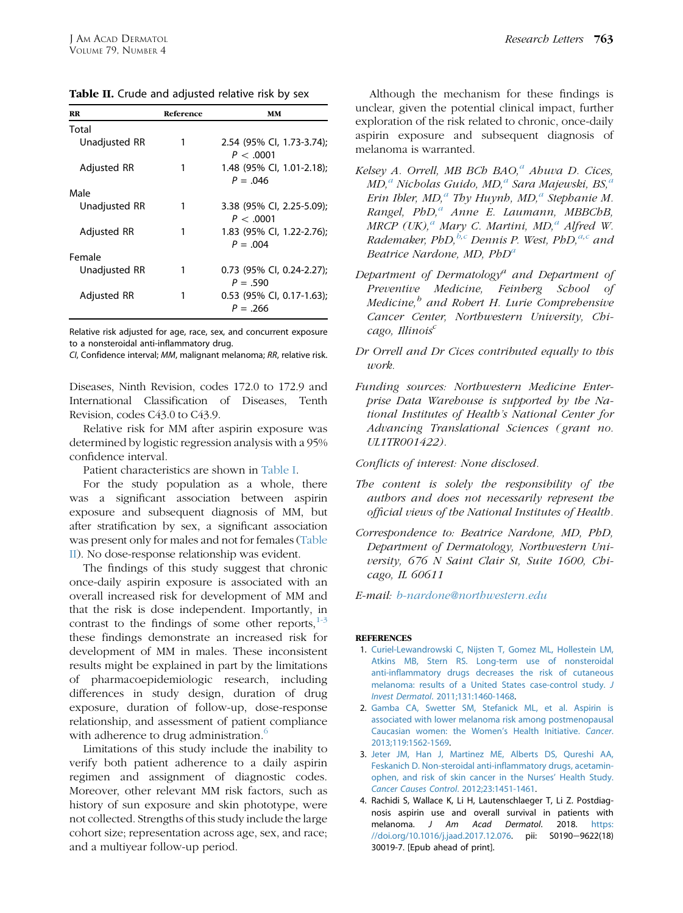<span id="page-1-0"></span>Table II. Crude and adjusted relative risk by sex

| Reference | MМ                          |
|-----------|-----------------------------|
|           |                             |
| 1         | 2.54 (95% Cl. 1.73-3.74):   |
|           | P < .0001                   |
| 1         | 1.48 (95% CI, 1.01-2.18);   |
|           | $P = 0.046$                 |
|           |                             |
|           | 3.38 (95% CI, 2.25-5.09);   |
|           | P < .0001                   |
|           | 1.83 (95% CI, 1.22-2.76);   |
|           | $P = 0.004$                 |
|           |                             |
|           | $0.73$ (95% CI, 0.24-2.27); |
|           | $P = .590$                  |
|           | 0.53 (95% CI, 0.17-1.63);   |
|           | $P = .266$                  |
|           |                             |

Relative risk adjusted for age, race, sex, and concurrent exposure to a nonsteroidal anti-inflammatory drug.

CI, Confidence interval; MM, malignant melanoma; RR, relative risk.

Diseases, Ninth Revision, codes 172.0 to 172.9 and International Classification of Diseases, Tenth Revision, codes C43.0 to C43.9.

Relative risk for MM after aspirin exposure was determined by logistic regression analysis with a 95% confidence interval.

Patient characteristics are shown in [Table I.](#page-0-0)

For the study population as a whole, there was a significant association between aspirin exposure and subsequent diagnosis of MM, but after stratification by sex, a significant association was present only for males and not for females (Table II). No dose-response relationship was evident.

The findings of this study suggest that chronic once-daily aspirin exposure is associated with an overall increased risk for development of MM and that the risk is dose independent. Importantly, in contrast to the findings of some other reports, $1-3$ these findings demonstrate an increased risk for development of MM in males. These inconsistent results might be explained in part by the limitations of pharmacoepidemiologic research, including differences in study design, duration of drug exposure, duration of follow-up, dose-response relationship, and assessment of patient compliance with adherence to drug administration.<sup>[6](#page-2-0)</sup>

Limitations of this study include the inability to verify both patient adherence to a daily aspirin regimen and assignment of diagnostic codes. Moreover, other relevant MM risk factors, such as history of sun exposure and skin phototype, were not collected. Strengths of this study include the large cohort size; representation across age, sex, and race; and a multiyear follow-up period.

Although the mechanism for these findings is unclear, given the potential clinical impact, further exploration of the risk related to chronic, once-daily aspirin exposure and subsequent diagnosis of melanoma is warranted.

- Kelsey A. Orrell, MB BCh BAO, $^a$  Ahuva D. Cices,  $MD<sub>i</sub><sup>a</sup> Nicholas Guido, MD<sub>i</sub><sup>a</sup> Sara Majewski, BS<sub>i</sub><sup>a</sup>$ Erin Ibler, MD,<sup> $a$ </sup> Thy Huynh, MD, $a$  Stephanie M. Rangel, PhD,<sup>a</sup> Anne E. Laumann, MBBChB, MRCP  $(UK)$ ,<sup>a</sup> Mary C. Martini, MD,<sup>a</sup> Alfred W. Rademaker, PhD, $^{b,c}$  Dennis P. West, PhD, $^{a,c}$  and Beatrice Nardone, MD,  $PbD<sup>a</sup>$
- Department of Dermatology<sup>a</sup> and Department of Preventive Medicine, Feinberg School of Medicine, $<sup>b</sup>$  and Robert H. Lurie Comprehensive</sup> Cancer Center, Northwestern University, Chi $cago, Illinois<sup>c</sup>$
- Dr Orrell and Dr Cices contributed equally to this work.
- Funding sources: Northwestern Medicine Enterprise Data Warehouse is supported by the National Institutes of Health's National Center for Advancing Translational Sciences ( grant no. UL1TR001422).

Conflicts of interest: None disclosed.

- The content is solely the responsibility of the authors and does not necessarily represent the official views of the National Institutes of Health.
- Correspondence to: Beatrice Nardone, MD, PhD, Department of Dermatology, Northwestern University, 676 N Saint Clair St, Suite 1600, Chicago, IL 60611

E-mail: [b-nardone@northwestern.edu](mailto:luciasem@health.usf.edu)

## **REFERENCES**

- 1. [Curiel-Lewandrowski C, Nijsten T, Gomez ML, Hollestein LM,](http://refhub.elsevier.com/S0190-9622(18)30485-7/sref1) [Atkins MB, Stern RS. Long-term use of nonsteroidal](http://refhub.elsevier.com/S0190-9622(18)30485-7/sref1) [anti-inflammatory drugs decreases the risk of cutaneous](http://refhub.elsevier.com/S0190-9622(18)30485-7/sref1) [melanoma: results of a United States case-control study.](http://refhub.elsevier.com/S0190-9622(18)30485-7/sref1) J Invest Dermatol[. 2011;131:1460-1468.](http://refhub.elsevier.com/S0190-9622(18)30485-7/sref1)
- 2. [Gamba CA, Swetter SM, Stefanick ML, et al. Aspirin is](http://refhub.elsevier.com/S0190-9622(18)30485-7/sref2) [associated with lower melanoma risk among postmenopausal](http://refhub.elsevier.com/S0190-9622(18)30485-7/sref2) [Caucasian women: the Women's Health Initiative.](http://refhub.elsevier.com/S0190-9622(18)30485-7/sref2) Cancer. [2013;119:1562-1569.](http://refhub.elsevier.com/S0190-9622(18)30485-7/sref2)
- 3. [Jeter JM, Han J, Martinez ME, Alberts DS, Qureshi AA,](http://refhub.elsevier.com/S0190-9622(18)30485-7/sref3) [Feskanich D. Non-steroidal anti-inflammatory drugs, acetamin](http://refhub.elsevier.com/S0190-9622(18)30485-7/sref3)[ophen, and risk of skin cancer in the Nurses' Health Study.](http://refhub.elsevier.com/S0190-9622(18)30485-7/sref3) [Cancer Causes Control](http://refhub.elsevier.com/S0190-9622(18)30485-7/sref3). 2012;23:1451-1461.
- 4. Rachidi S, Wallace K, Li H, Lautenschlaeger T, Li Z. Postdiagnosis aspirin use and overall survival in patients with melanoma. J Am Acad Dermatol. 2018. [https:](https://doi.org/10.1016/j.jaad.2017.12.076) [//doi.org/10.1016/j.jaad.2017.12.076.](https://doi.org/10.1016/j.jaad.2017.12.076) pii: S0190-9622(18) 30019-7. [Epub ahead of print].